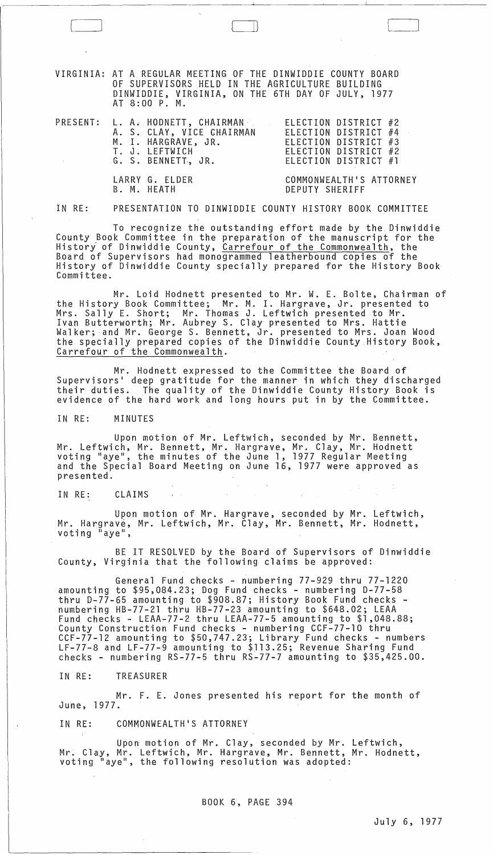VIRGINIA: AT A REGULAR MEETING OF THE DINWIDDIE COUNTY BOARD OF SUPERVISORS HELD IN THE AGRICULTURE BUILDING DINWIDDIE, VIRGINIA, ON THE 6TH DAY OF JULY, 1977 AT 8:00 P. M.

 $\begin{pmatrix} 1 & 1 & 1 \\ 1 & 1 & 1 \end{pmatrix}$ 

|  | PRESENT: L. A. HODNETT, CHAIRMAN | ELECTION DISTRICT #2    |
|--|----------------------------------|-------------------------|
|  | A. S. CLAY, VICE CHAIRMAN        | ELECTION DISTRICT #4    |
|  | M. I. HARGRAVE, JR.              | ELECTION DISTRICT #3    |
|  | T. J. LEFTWICH                   | ELECTION DISTRICT #2    |
|  | G. S. BENNETT, JR.               | ELECTION DISTRICT #1    |
|  | LARRY G. ELDER                   | COMMONWEALTH'S ATTORNEY |
|  | B. M. HEATH                      | DEPUTY SHERIFF          |

IN RE: PRESENTATION TO DINWIDDIE COUNTY HISTORY BOOK COMMITTEE

To recognize the outstanding effort made by the. Dinwiddie County Book Committee in the preparation of the manuscript for the History of Dinwiddie County, Carrefour of the Commonwealth, the Board of Supervisors had monogrammed leatherbound copies of the History of Dinwiddie County specially prepared for the History Book Committee.

Mr. Loid Hodnett presented to Mr. W. E. Bolte, Chairman of the History Book Committee; Mr. M. 1. Hargrave, Jr. presented to Mrs. Sally E. Short; Mr. Thomas J. Leftwich presented to Mr. Ivan Butterworth; Mr. Aubrey S. Clay presented to Mrs. Hattie Walker; and Mr. George S. Bennett, Jr. presented to Mrs. Joan Wood the specially prepared copies of the Dinwiddie County History Book, Carrefour of the Commonwealth.

Mr. Hodnett expressed to the Committee the Board of Supervisors' deep gratitude for the manner in which they discharged their duties. The quality of the Dinwiddie County History Book is evidence of the hard work and long hours put in by the Committee.

IN RE: MINUTES

Upon motion of Mr. Leftwich, seconded by Mr. Bennett, Mr. Leftwich, Mr. Bennett, Mr. Hargrave, Mr. Clay, Mr. Hodnett voting "aye", the minutes of the June 1, 1977 Regular Meeting<br>and the Special Board Meeting on June 16, 1977 were approved as presented.

IN RE: CLAIMS

Upon motion of Mr. Hargrave, seconded by Mr. Leftwich, Mr. Hargrave, Mr. Leftwich, Mr. Clay, Mr. Bennett, Mr. Hodnett, voting "aye",

BE IT RESOLVED by the Board of Supervisors of Dinwiddie County, Virginia that the following claims be approved:

General Fund checks - numbering 77-929 thru 77-1220 amounting to \$95,084.23; Dog Fund checks - numbering 0-77-58 thru 0-77-65 amounting to \$908.87; History Book Fund checks - numbering HB-77-2l thru HB-77-23 amounting to \$648.02; LEAA Fund checks - LEAA-77-2 thru LEAA-77-5 amounting to \$1,048.88; County Construction Fund checks - numbering CCF-77-l0 thru CCF-77-12 amounting to \$50,747.23; Library Fund checks - numbers LF-77-8 and LF-77-9 amounting to \$J13.25; Revenue Sharing Fund checks - numbering RS-77-5 thru RS-77-7 amounting to \$35,425.00.

IN RE: TREASURER

Mr. F. E. Jones presented his report for the month of June, 1977.

IN RE: COMMONWEALTH'S ATTORNEY

Upon motion of Mr. Clay, seconded by Mr. Leftwich, Mr. Clay, Mr. Leftwich, Mr. Hargrave, Mr. Bennett, Mr. Hodnett, voting "aye", the following resolution was adopted:

BOOK 6, PAGE 394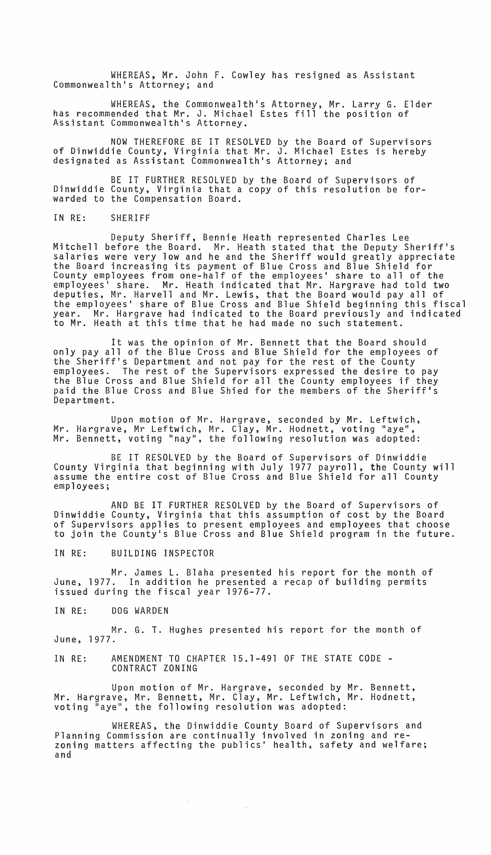WHEREAS, Mr. John F. Cowley has resigned as Assistant Commonwealth's Attorney; and

WHEREAS, the Commonwealth·s Attorney, Mr. Larry G. Elder has recommended that Mr. J. Michael Estes fill the position of Assistant Commonwealth's Attorney.

NOW THEREFORE BE IT RESOLVED by the Board of Supervisors of Dinwiddie County, Virginia that Mr. J. Michael Estes is hereby designated as Assistant Commonwealth·s Attorney; and

BE IT FURTHER RESOLVED by the Board of Supervisors of Dinwiddie County, Virginia that a copy of this resolution be forwarded to the Compensation Board.

IN RE: SHERIFF

Deputy Sheriff, Bennie Heath represented Charles Lee Mitchell before the Board. Mr. Heath stated that the Deputy Sheriff·s salaries were very low and he and the Sheriff would greatly appreciate the Board increasing its payment of Blue Cross and Blue Shield for County employees from one-half of the employees' share to all of the employees' share. Mr. Heath indicated that Mr. Hargrave had told two deputies, Mr. Harvell and Mr. Lewis, that the Board would pay all of the employees· share of Blue Cross and Blue Shield beginning this fiscal year. Mr. Hargrave had indicated to the Board previously and indicated to Mr. Heath at this time that he had made no such statement.

It was the opinion of Mr. Bennett that the Board should only pay all of the Blue Cross and Blue Shield for the employees of the Sheriff·s Department and not pay for the rest of the County employees. The rest of the Supervisors expressed the desire to pay the Blue Cross and Blue Shield for all the County employees if they paid the Blue Cross and Blue Shied for the members of the Sheriff·s Department.

Upon motion of Mr. Hargrave, seconded by Mr. Leftwich, Mr. Hargrave, Mr Leftwich, Mr. Clay, Mr. Hodnett, voting "aye",<br>Mr. Bennett, voting "nay", the following resolution was adopted:

BE IT RESOLVED by the Board of Supervisors of Dinwiddie County Virginia that beginning with July 1977 payroll, the County will assume the entire cost of Blue Cross and Blue Shield for all County<br>employees;

AND BE IT FURTHER RESOLVED by the Board of Supervisors of Dinwiddie County, Virginia that this assumption of cost by the Board of Supervisors applies to present employees and employees that choose to join the County·s Blue Cross and Blue Shield program in the future.

IN RE: BUILDING INSPECTOR

Mr. James L. Blaha presented his report for the month of June, 1977. In addition he presented a recap of building permits issued during the fiscal year 1976-77.

IN RE: DOG WARDEN

Mr. G. T. Hughes presented his report for the month of June, 1977.

IN RE: AMENDMENT TO CHAPTER 15.1-491 OF THE STATE CODE - CONTRACT ZONING

Upon motion of Mr. Hargrave, seconded by Mr. Bennett, Mr. Hargrave, Mr. Bennett, Mr. Clay, Mr. Leftwich, Mr. Hodnett, voting "aye", the following resolution was adopted:

WHEREAS, the Dinwiddie County Board of Supervisors and Planning Commission are continually involved in zoning and rezoning matters affecting the publics· health, safety and welfare; and

 $\sim 10^{-11}$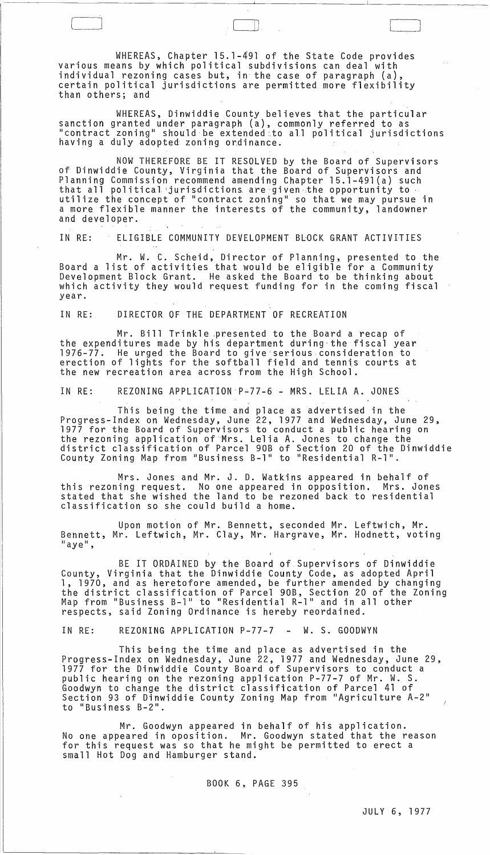WHEREAS, Chapter 15.1-491 of the State Code provides various means by which political subdivisions can deal with individual rezoning cases but, in the case of paragraph (a) certain political jurisdictions are permitted more flexibility than others; and

[

WHEREAS, Dinwiddie County believes that the particular sanction granted under paragraph (a), commonly referred to as "contract zoning" should be extended to all political jurisdictions having a duly adopted zoning ordinance.

NOW THEREFORE BE IT RESOLVED by the Board of Supervisors of Dinwiddie County, Virginia that the Board of Supervisors and Planning Commission recommend amending Chapter 15.l-49l(a) such that all political jurisdictions are given the opportunity to utilize the concept of "contract zoning" so that we may pursue in a more flexible manner the interests of the community, landowner and developer.

IN RE: ELIGIBLE COMMUNITY DEVELOPMENT BLOCK GRANT ACTIVITIES

Mr. W. C. Scheid, Director of Planning, presented to the Board a list of activities that would be eligible for a Community Development Block Grant. He asked the Board to be thinking about which activity they would request funding for in the coming fiscal year.

IN RE: DIRECTOR OF THE DEPARTMENT OF RECREATION

Mr. Bill Trinkle ,presented to the Board a recap of the expenditures made by his department during the fiscal year 1976-77. He urged the Board to give'serious consideration to erection of lights for the softball field and tennis courts at the new recreation area across from the High School.

IN RE: REZONING APPLICATION-P~77-6 - MRS. LELIA A. JONES

This being the time and place as advertised in the Progress-Index on Wednesday, June 22, 1977 and Wednesday, June 29, 1977 for the Board of Supervisors to conduct a public hearing on the rezoning application of-Mrs. Lelia A. Jones to change the district classification of Parcel 90B of Section 20 of the Dinwiddie County Zoning Map from "Business B-l" to "Residential R-l".

Mrs. Jones and Mr. J. D. Watkins appeared in behalf of<br>this rezoning request. No one appeared in opposition. Mrs. Jon No one appeared in opposition. Mrs. Jones stated that she wished the land to be rezoned back to residential classification so she could build a home.

Upon motion of Mr. Bennett, seconded Mr. Leftwich, Mr. Bennett, Mr. Leftwich, Mr. Clay, Mr. Hargrave, Mr. Hodnett, voting "aye",

BE IT ORDAINED by the Board of.Supervisors of Dinwiddie County, Virginia that the Dinwiddie County Code, as adopted April<br>1, 1970, and as heretofore amended, be further amended by changing the district classification of Parcel 90B, Section 20 of the Zoning Map from "Business B-l" to "Residential R-l" and in all other respects, said Zoning Ordinance is hereby reordained.

IN RE: REZONING APPLICATION P-77-7 - W. S. GOODWYN

 $\sim 10^{-1}$ 

This being the time and place as advertised in the Progress-Index on Wednesday, June 22, 1977 and Wednesday, June 29, 1977 for the Dinwiddie County Board of Supervisors to conduct a public hearing on the rezoning application P-77-7 of Mr. W. S. Goodwyn to change the district classification of Parcel 41 of Section 93 of Dinwiddie County Zoning Map from "Agriculture A-2" to "Business B-2".

Mr. Goodwyn appeared in behalf of his application. No one appeared in oposition. Mr. Goodwyn stated that the reason for this request was so that he might be permitted to erect a small Hot Dog and Hamburger stand.

BOOK 6, PAGE 395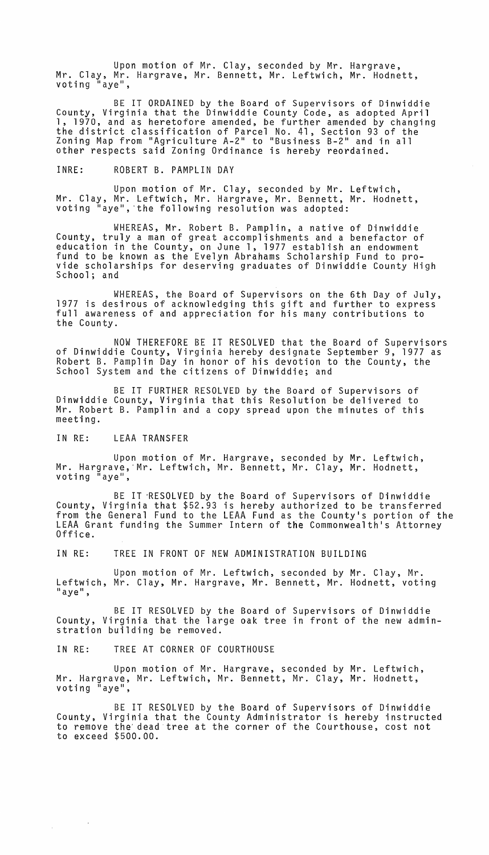Upon motion of Mr. Clay, seconded by Mr. Hargrave, Mr. Clay, Mr. Hargrave, Mr. Bennett, Mr. Leftwich, Mr. Hodnett, voting "aye",

BE IT ORDAINED by the Board of Supervisors of Dinwiddie County, Virginia that the Dinwiddie County Code, as adopted April<br>1, 1970, and as heretofore amended, be further amended by changing 1, 1970, and as heretofore amended, be further amended by changing<br>the district classification of Parcel No. 41, Section 93 of the Zoning Map from "Agriculture A-2" to "Business B-2" and in all other respects said Zoning Ordinance is hereby reordained.

INRE: ROBERT B. PAMPLIN DAY

Upon motion of Mr. Clay, seconded by Mr. Leftwich, Mr. Clay, Mr. Leftwich, Mr. Hargrave, Mr. Bennett, Mr. Hodnett, voting "aye", the following resolution was adopted:

WHEREAS, Mr. Robert B. Pamplin, a native of Dinwiddie County, truly a man of great accomplishments and a benefactor of education in the County, on June 1, 1977 establish an endowment fund to be known as the Evelyn Abrahams Scholarship Fund to pro-<br>vide scholarships for deserving graduates of Dinwiddie County High<br>School; and

WHEREAS, the Board of Supervisors on the 6th Day of July, 1977 is desirous of acknowledging this gift and further to express full awareness of and appreciation for his many contributions to the County.

NOW THEREFORE BE IT RESOLVED that the Board of Supervisors<br>of Dinwiddie County, Virginia hereby designate September 9, 1977 as Robert B. Pamplin Day in honor of his devotion to the County, the School System and the citizens of Dinwiddie; and

BE IT FURTHER RESOLVED by the Board of Supervisors of Dinwiddie County, Virginia that this Resolution be delivered to Mr. Robert B. Pamplin and a copy spread upon the minutes of this meeting.

IN RE: LEAA TRANSFER

 $\label{eq:2.1} \frac{1}{2\pi}\int_{\mathbb{R}^3}\frac{1}{\sqrt{2\pi}}\left(\frac{1}{\sqrt{2\pi}}\right)^2\frac{1}{\sqrt{2\pi}}\frac{1}{\sqrt{2\pi}}\frac{1}{\sqrt{2\pi}}\frac{1}{\sqrt{2\pi}}\frac{1}{\sqrt{2\pi}}\frac{1}{\sqrt{2\pi}}\frac{1}{\sqrt{2\pi}}\frac{1}{\sqrt{2\pi}}\frac{1}{\sqrt{2\pi}}\frac{1}{\sqrt{2\pi}}\frac{1}{\sqrt{2\pi}}\frac{1}{\sqrt{2\pi}}\frac{1}{\sqrt{2\pi}}\frac{1}{\$ 

Upon motion of Mr. Hargrave, seconded by Mr. Leftwich, Mr. Hargrave,'Mr. Leftwich, Mr. Bennett, Mr. Clay, Mr. Hodnett, voting "aye",

BE IT -RESOLVED by the Board of Supervisors of Dinwiddie County, Virginia that \$52.93 is hereby authorized to be transferred from the General Fund to the LEAA Fund as the County's portion of the LEAA Grant funding the Summer Intern of the Commonwealth's Attorney<br>Office.

IN RE: TREE IN FRONT OF NEW ADMINISTRATION BUILDING

Upon motion of Mr. Leftwich, seconded by Mr. Clay, Mr. Leftwich, Mr. Clay, Mr. Hargrave, Mr. Bennett, Mr. Hodnett, voting<br>"aye",

BE IT RESOLVED by the Board of Supervisors of Dinwiddie County, Virginia that the large oak tree in front of the new adminstration building be removed.

IN RE: TREE AT CORNER OF COURTHOUSE

Upon motion of Mr. Hargrave, seconded by Mr. Leftwich, Mr. Hargrave, Mr. Leftwich, Mr. Bennett, Mr. Clay, Mr. Hodnett, voting "aye",

BE IT RESOLVED by the Board of Supervisors of Dinwiddie County, Virginia that the County Administrator is hereby instructed to remove the'dead tree at the corner of the Courthouse, cost not to exceed \$500.00.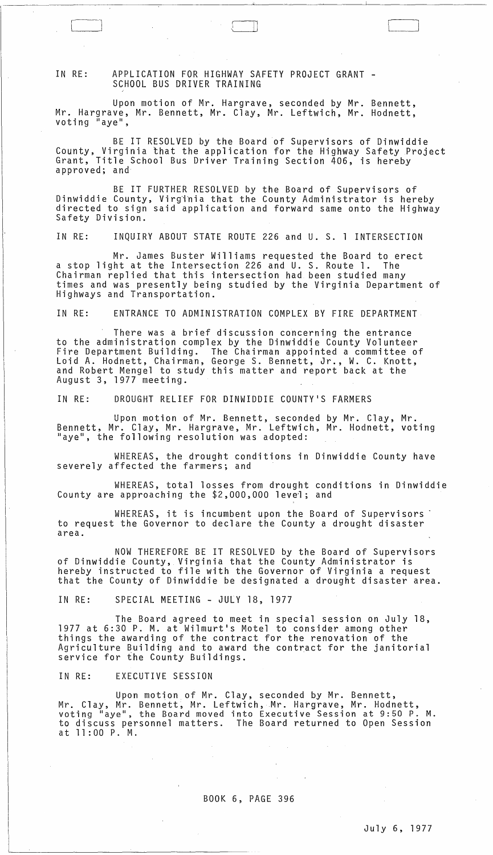## IN RE: APPLICATION FOR HIGHWAY SAFETY PROJECT GRANT -<br>SCHOOL BUS DRIVER TRAINING

Upon motion of Mr. Hargrave, seconded by Mr. Bennett, Mr. Hargrave, Mr. Bennett, Mr. Clay, Mr. Leftwich, Mr. Hodnett, voting "aye",

BE IT RESOLVED by the Board of Supervisors of Dinwiddie County, Virginia that the application for the Highway Safety Project Grant, Title School Bus Driver Training Section 406, is hereby<br>approved; and

 $\sqcup$ 

 $\Box$ 

BE IT FURTHER RESOLVED by the Board of Supervisors of Dinwiddie County, Virginia that the County Administrator is hereby directed to sign said application and forward same onto the Highway Safety Division.

IN RE: INQUIRY ABOUT STATE ROUTE 226 and U. S. 1 INTERSECTION

Mr. James Buster Williams requested the Board to erect a stop light at the Intersection 226 and U. S. Route 1. The Chairman replied that this intersection had been studied many times and was presently being studied by the Virginia Department of Highways and Transportation.

IN RE: ENTRANCE TO ADMINISTRATION COMPLEX BY FIRE DEPARTMENT

There was a brief discussion concerning the entrance to the administration complex by the Dinwiddie County Volunteer Fire Department Building. The Chairman appointed a committee of Loid A. Hodnett, Chairman, George S. Bennett, Jr., W. C. Knott, and Robert Mengel to study this matter and report back at the August 3, 1977 meeting.

IN RE: DROUGHT RELIEF FOR DINWIDDIE COUNTY'S FARMERS

Upon motion of Mr. Bennett, seconded by Mr. Clay, Mr. Bennett, Mr. Clay, Mr. Hargrave, Mr. Leftwich, Mr. Hodnett, voting "aye", the following resolution was adopted:

WHEREAS, the drought conditions in Dinwiddie County have severely affected the farmers; and

WHEREAS, total losses from drought conditions in Dinwiddie County are approaching the \$2,000,000 level; and

WHEREAS, it is incumbent upon the Board of Supervisors' to request the Governor to declare the County a drought disaster area.

NOW THEREFORE BE IT RESOLVED by the Board of Supervisors of Dinwiddie County, Virginia that the County Administrator is hereby instructed to file with the Governor of Virginia a request that the County of Dinwiddie be designated a drought disaster area.

IN RE: SPECIAL MEETING - JULY 18, 1977

 $\mathcal{L}(\mathcal{L}^{\text{max}}_{\text{max}})$ 

 $\sim 100$ 

 $\sim 4$   $\sim$ 

The Board agreed to meet in special session on July 18, 1977 at 6:30 P. M. at Wilmurt's Motel to consider among other things the awarding of the contract for the renovation of the Agriculture Building and to award the contract for the janitorial service for the County Buildings.

IN RE: EXECUTIVE SESSION

 $\sim$ 

Upon motion of Mr. Clay, seconded by Mr. Bennett, Mr. Clay, Mr. Bennett, Mr. Leftwich, Mr. Hargrave, Mr. Hodnett, voting "aye", the Board moved into Executive Session at 9:50 P. M. to discuss personnel matters. The Board returned to Open Session at 11 :00 P. M.

 $\sim$   $\sim$ 

 $\mathcal{F}(\mathcal{F})$  and  $\mathcal{F}(\mathcal{F})$  and  $\mathcal{F}(\mathcal{F})$  and  $\mathcal{F}(\mathcal{F})$ 

 $\mathcal{L}(\mathcal{A})$  and  $\mathcal{L}(\mathcal{A})$  and  $\mathcal{L}(\mathcal{A})$ 

 $\sim 10^{11}$ 

## BOOK 6, PAGE 396

 $\sim$   $\alpha$  $\mathcal{A}^{\mathcal{A}}$